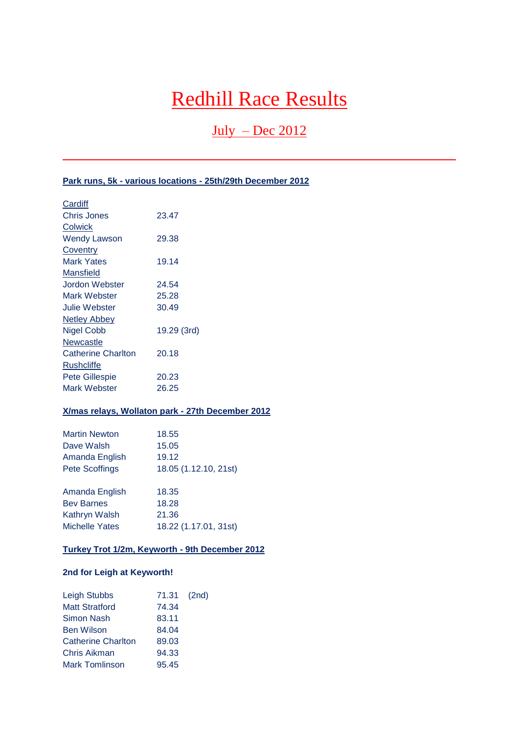# Redhill Race Results

## $July - Dec 2012$

## **Park runs, 5k - various locations - 25th/29th December 2012**

| Cardiff                   |             |
|---------------------------|-------------|
| Chris Jones               | 23.47       |
| Colwick                   |             |
| <b>Wendy Lawson</b>       | 29.38       |
| Coventry                  |             |
| Mark Yates                | 19.14       |
| Mansfield                 |             |
| Jordon Webster            | 24.54       |
| Mark Webster              | 25.28       |
| <b>Julie Webster</b>      | 30.49       |
| <b>Netley Abbey</b>       |             |
| <b>Nigel Cobb</b>         | 19.29 (3rd) |
| Newcastle                 |             |
| <b>Catherine Charlton</b> | 20.18       |
| Rushcliffe                |             |
| <b>Pete Gillespie</b>     | 20.23       |
| Mark Webster              | 26.25       |
|                           |             |

## **X/mas relays, Wollaton park - 27th December 2012**

| <b>Martin Newton</b>  | 18.55                 |
|-----------------------|-----------------------|
| Dave Walsh            | 15.05                 |
| Amanda English        | 19.12                 |
| <b>Pete Scoffings</b> | 18.05 (1.12.10, 21st) |
| Amanda English        | 18.35                 |
| <b>Bey Barnes</b>     | 18.28                 |
| Kathryn Walsh         | 21.36                 |
| <b>Michelle Yates</b> | 18.22 (1.17.01, 31st) |

## **Turkey Trot 1/2m, Keyworth - 9th December 2012**

## **2nd for Leigh at Keyworth!**

| <b>Leigh Stubbs</b>       | 71.31 (2nd) |  |
|---------------------------|-------------|--|
| <b>Matt Stratford</b>     | 74.34       |  |
| <b>Simon Nash</b>         | 83.11       |  |
| <b>Ben Wilson</b>         | 84.04       |  |
| <b>Catherine Charlton</b> | 89.03       |  |
| Chris Aikman              | 94.33       |  |
| <b>Mark Tomlinson</b>     | 95.45       |  |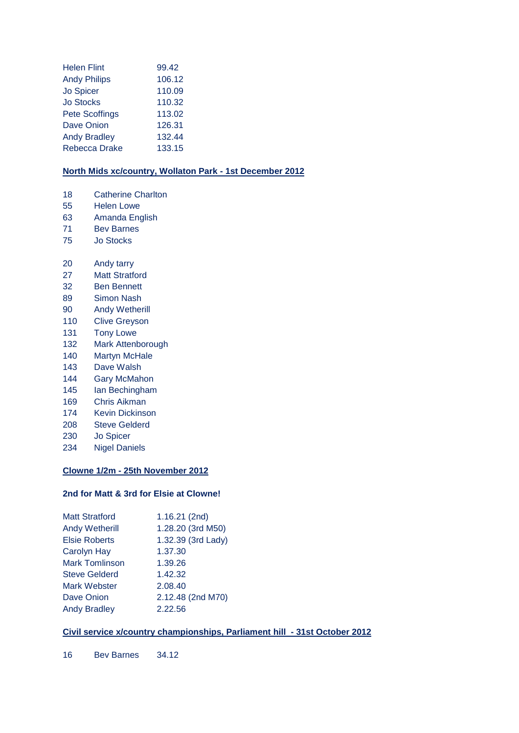| <b>Helen Flint</b>    | 99.42  |
|-----------------------|--------|
| <b>Andy Philips</b>   | 106.12 |
| <b>Jo Spicer</b>      | 110.09 |
| <b>Jo Stocks</b>      | 110.32 |
| <b>Pete Scoffings</b> | 113.02 |
| <b>Dave Onion</b>     | 126.31 |
| <b>Andy Bradley</b>   | 132.44 |
| Rebecca Drake         | 133.15 |

## **North Mids xc/country, Wollaton Park - 1st December 2012**

- 18 Catherine Charlton
- 55 Helen Lowe
- 63 Amanda English
- 71 Bev Barnes
- 75 Jo Stocks
- 20 Andy tarry
- 27 Matt Stratford
- 32 Ben Bennett
- 89 Simon Nash
- 90 Andy Wetherill
- 110 Clive Greyson
- 131 Tony Lowe
- 132 Mark Attenborough
- 140 Martyn McHale
- 143 Dave Walsh
- 144 Gary McMahon
- 145 Ian Bechingham
- 169 Chris Aikman
- 174 Kevin Dickinson
- 208 Steve Gelderd
- 230 Jo Spicer
- 234 Nigel Daniels

## **Clowne 1/2m - 25th November 2012**

## **2nd for Matt & 3rd for Elsie at Clowne!**

| <b>Matt Stratford</b> | 1.16.21 (2nd)      |
|-----------------------|--------------------|
| <b>Andy Wetherill</b> | 1.28.20 (3rd M50)  |
| <b>Elsie Roberts</b>  | 1.32.39 (3rd Lady) |
| <b>Carolyn Hay</b>    | 1.37.30            |
| <b>Mark Tomlinson</b> | 1.39.26            |
| <b>Steve Gelderd</b>  | 1.42.32            |
| Mark Webster          | 2.08.40            |
| Dave Onion            | 2.12.48 (2nd M70)  |
| <b>Andy Bradley</b>   | 2.22.56            |
|                       |                    |

## **Civil service x/country championships, Parliament hill - 31st October 2012**

16 Bev Barnes 34.12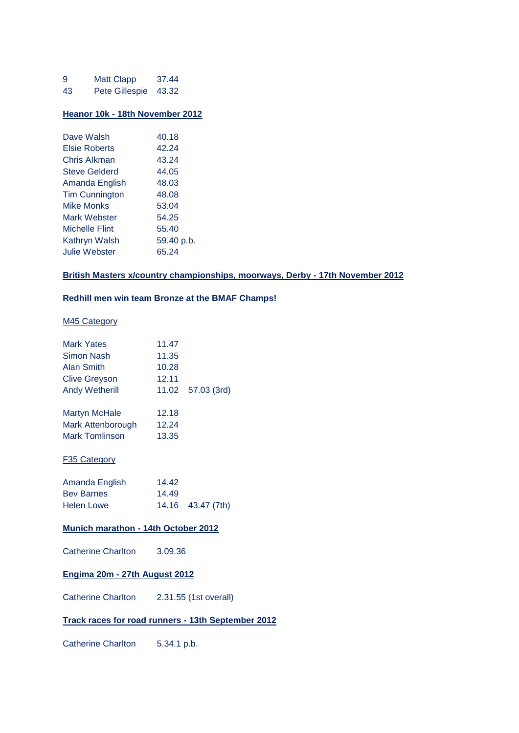| 9  | <b>Matt Clapp</b> | 37.44 |
|----|-------------------|-------|
| 43 | Pete Gillespie    | 43.32 |

#### **Heanor 10k - 18th November 2012**

| Dave Walsh            | 40.18      |
|-----------------------|------------|
| Elsie Roberts         | 42.24      |
| Chris Alkman          | 43.24      |
| <b>Steve Gelderd</b>  | 44.05      |
| Amanda English        | 48.03      |
| <b>Tim Cunnington</b> | 48.08      |
| Mike Monks            | 53.04      |
| Mark Webster          | 54.25      |
| Michelle Flint        | 55.40      |
| Kathryn Walsh         | 59.40 p.b. |
| <b>Julie Webster</b>  | 65.24      |

## **British Masters x/country championships, moorways, Derby - 17th November 2012**

## **Redhill men win team Bronze at the BMAF Champs!**

## M45 Category

| <b>Mark Yates</b>    | 11.47 |             |
|----------------------|-------|-------------|
| Simon Nash           | 11.35 |             |
| Alan Smith           | 10.28 |             |
| <b>Clive Greyson</b> | 12.11 |             |
| Andy Wetherill       | 11.02 | 57.03 (3rd) |
| Martyn McHale        | 12.18 |             |
| Mark Attenborough    | 12.24 |             |
| Mark Tomlinson       | 13.35 |             |
| F35 Category         |       |             |
| Amanda English       | 14.42 |             |
| <b>Bev Barnes</b>    | 14.49 |             |
| <b>Helen Lowe</b>    | 14.16 | 43.47 (7th) |
|                      |       |             |

## **Munich marathon - 14th October 2012**

| <b>Catherine Charlton</b> | 3.09.36 |
|---------------------------|---------|
|---------------------------|---------|

## **Engima 20m - 27th August 2012**

Catherine Charlton 2.31.55 (1st overall)

## **Track races for road runners - 13th September 2012**

Catherine Charlton 5.34.1 p.b.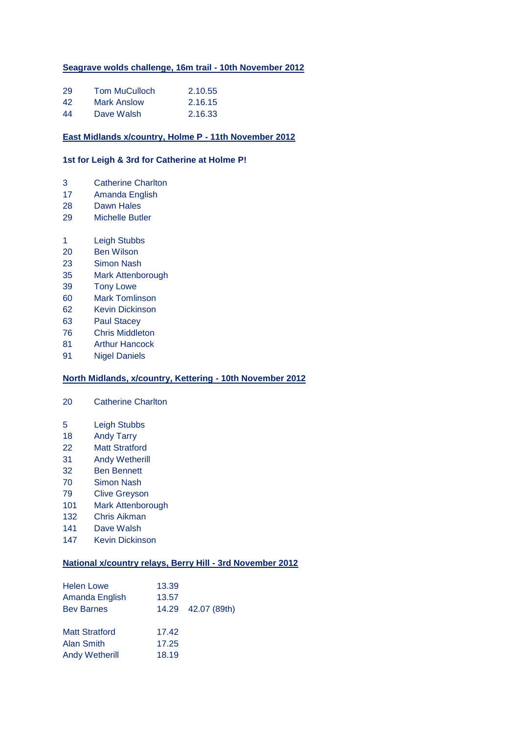## **Seagrave wolds challenge, 16m trail - 10th November 2012**

| 29 | <b>Tom MuCulloch</b> | 2.10.55 |
|----|----------------------|---------|
| 42 | Mark Anslow          | 2.16.15 |
| 44 | Dave Walsh           | 2.16.33 |

#### **East Midlands x/country, Holme P - 11th November 2012**

## **1st for Leigh & 3rd for Catherine at Holme P!**

- Catherine Charlton
- Amanda English
- Dawn Hales
- Michelle Butler
- Leigh Stubbs
- Ben Wilson
- Simon Nash
- Mark Attenborough
- Tony Lowe
- Mark Tomlinson
- Kevin Dickinson
- Paul Stacey
- Chris Middleton
- Arthur Hancock
- Nigel Daniels

## **North Midlands, x/country, Kettering - 10th November 2012**

- Catherine Charlton
- Leigh Stubbs
- Andy Tarry
- Matt Stratford
- Andy Wetherill
- Ben Bennett
- Simon Nash
- Clive Greyson
- Mark Attenborough
- Chris Aikman
- Dave Walsh
- Kevin Dickinson

## **National x/country relays, Berry Hill - 3rd November 2012**

| <b>Helen Lowe</b><br>Amanda English<br><b>Bev Barnes</b>     | 13.39<br>13.57          | 14.29 42.07 (89th) |
|--------------------------------------------------------------|-------------------------|--------------------|
| <b>Matt Stratford</b><br>Alan Smith<br><b>Andy Wetherill</b> | 17.42<br>17.25<br>18.19 |                    |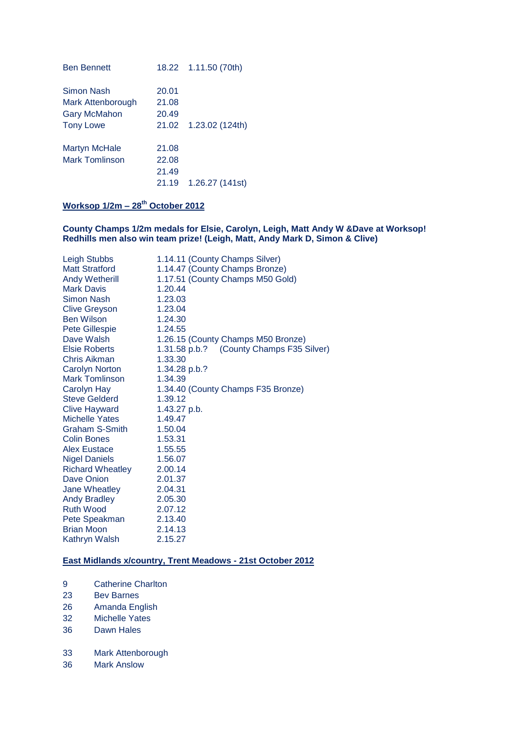| <b>Ben Bennett</b>    |       | 18.22 1.11.50 (70th) |
|-----------------------|-------|----------------------|
| Simon Nash            | 20.01 |                      |
| Mark Attenborough     | 21.08 |                      |
| <b>Gary McMahon</b>   | 20.49 |                      |
| <b>Tony Lowe</b>      | 21.02 | 1.23.02(124th)       |
| Martyn McHale         | 21.08 |                      |
| <b>Mark Tomlinson</b> | 22.08 |                      |
|                       | 21.49 |                      |
|                       | 21.19 | 1.26.27 (141st)      |

## **Worksop 1/2m – 28th October 2012**

## **County Champs 1/2m medals for Elsie, Carolyn, Leigh, Matt Andy W &Dave at Worksop! Redhills men also win team prize! (Leigh, Matt, Andy Mark D, Simon & Clive)**

| Leigh Stubbs            | 1.14.11 (County Champs Silver)           |
|-------------------------|------------------------------------------|
| <b>Matt Stratford</b>   | 1.14.47 (County Champs Bronze)           |
| <b>Andy Wetherill</b>   | 1.17.51 (County Champs M50 Gold)         |
| <b>Mark Davis</b>       | 1.20.44                                  |
| <b>Simon Nash</b>       | 1.23.03                                  |
| <b>Clive Greyson</b>    | 1.23.04                                  |
| <b>Ben Wilson</b>       | 1.24.30                                  |
| Pete Gillespie          | 1.24.55                                  |
| Dave Walsh              | 1.26.15 (County Champs M50 Bronze)       |
| Elsie Roberts           | 1.31.58 p.b.? (County Champs F35 Silver) |
| Chris Aikman            | 1.33.30                                  |
| Carolyn Norton          | 1.34.28 p.b.?                            |
| Mark Tomlinson          | 1.34.39                                  |
| Carolyn Hay             | 1.34.40 (County Champs F35 Bronze)       |
| <b>Steve Gelderd</b>    | 1.39.12                                  |
| <b>Clive Hayward</b>    | 1.43.27 p.b.                             |
| Michelle Yates          | 1.49.47                                  |
| Graham S-Smith          | 1.50.04                                  |
| <b>Colin Bones</b>      | 1.53.31                                  |
| <b>Alex Eustace</b>     | 1.55.55                                  |
| <b>Nigel Daniels</b>    | 1.56.07                                  |
| <b>Richard Wheatley</b> | 2.00.14                                  |
| Dave Onion              | 2.01.37                                  |
| Jane Wheatley           | 2.04.31                                  |
| <b>Andy Bradley</b>     | 2.05.30                                  |
| <b>Ruth Wood</b>        | 2.07.12                                  |
| Pete Speakman           | 2.13.40                                  |
| <b>Brian Moon</b>       | 2.14.13                                  |
| Kathryn Walsh           | 2.15.27                                  |

## **East Midlands x/country, Trent Meadows - 21st October 2012**

- 9 Catherine Charlton
- 23 Bev Barnes
- 26 Amanda English
- 32 Michelle Yates
- 36 Dawn Hales
- 33 Mark Attenborough
- 36 Mark Anslow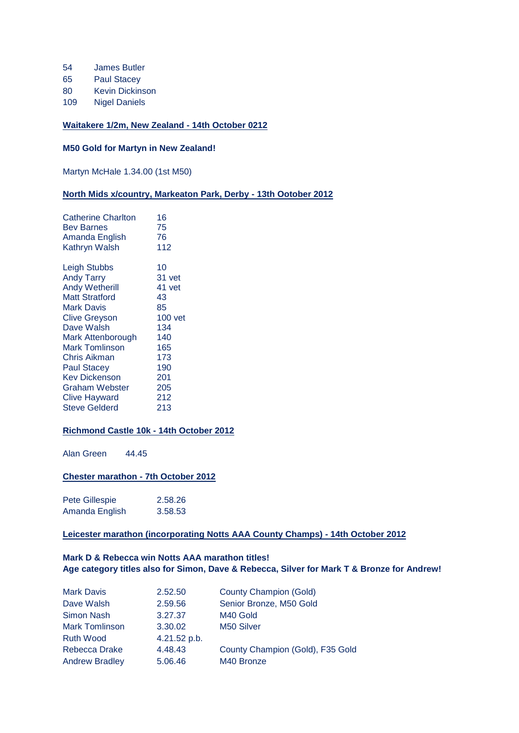- 54 James Butler
- 65 Paul Stacey
- 80 Kevin Dickinson
- 109 Nigel Daniels

## **Waitakere 1/2m, New Zealand - 14th October 0212**

## **M50 Gold for Martyn in New Zealand!**

Martyn McHale 1.34.00 (1st M50)

## **North Mids x/country, Markeaton Park, Derby - 13th Ootober 2012**

| 16        |
|-----------|
| 75        |
| 76        |
| 112       |
| 10        |
| 31 vet    |
| 41 vet    |
| 43        |
| 85        |
| $100$ vet |
| 134       |
| 140       |
| 165       |
| 173       |
| 190       |
| 201       |
| 205       |
| 212       |
| 213       |
|           |

## **Richmond Castle 10k - 14th October 2012**

Alan Green 44.45

## **Chester marathon - 7th October 2012**

| Pete Gillespie | 2.58.26 |
|----------------|---------|
| Amanda English | 3.58.53 |

## **Leicester marathon (incorporating Notts AAA County Champs) - 14th October 2012**

## **Mark D & Rebecca win Notts AAA marathon titles! Age category titles also for Simon, Dave & Rebecca, Silver for Mark T & Bronze for Andrew!**

| <b>Mark Davis</b>     | 2.52.50      | <b>County Champion (Gold)</b>    |
|-----------------------|--------------|----------------------------------|
| Dave Walsh            | 2.59.56      | Senior Bronze, M50 Gold          |
| Simon Nash            | 3.27.37      | M40 Gold                         |
| <b>Mark Tomlinson</b> | 3.30.02      | M50 Silver                       |
| <b>Ruth Wood</b>      | 4.21.52 p.b. |                                  |
| Rebecca Drake         | 4.48.43      | County Champion (Gold), F35 Gold |
| <b>Andrew Bradley</b> | 5.06.46      | M40 Bronze                       |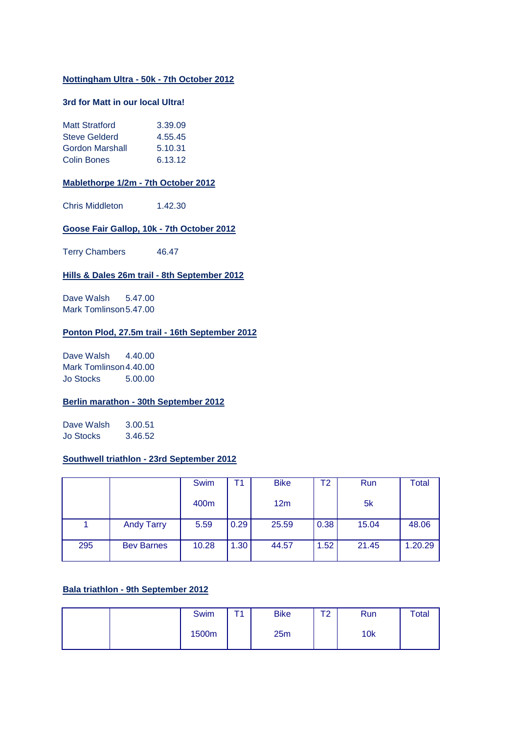## **Nottingham Ultra - 50k - 7th October 2012**

## **3rd for Matt in our local Ultra!**

| <b>Matt Stratford</b>  | 3.39.09 |
|------------------------|---------|
| <b>Steve Gelderd</b>   | 4.55.45 |
| <b>Gordon Marshall</b> | 5.10.31 |
| <b>Colin Bones</b>     | 6.13.12 |

#### **Mablethorpe 1/2m - 7th October 2012**

Chris Middleton 1.42.30

## **Goose Fair Gallop, 10k - 7th October 2012**

Terry Chambers 46.47

## **Hills & Dales 26m trail - 8th September 2012**

Dave Walsh 5.47.00 Mark Tomlinson5.47.00

## **Ponton Plod, 27.5m trail - 16th September 2012**

Dave Walsh 4.40.00 Mark Tomlinson4.40.00 Jo Stocks 5.00.00

## **Berlin marathon - 30th September 2012**

Dave Walsh 3.00.51 Jo Stocks 3.46.52

## **Southwell triathlon - 23rd September 2012**

|     |                   | Swim  | Τ1   | <b>Bike</b> | Τ2   | <b>Run</b> | <b>Total</b> |
|-----|-------------------|-------|------|-------------|------|------------|--------------|
|     |                   | 400m  |      | 12m         |      | 5k         |              |
|     | <b>Andy Tarry</b> | 5.59  | 0.29 | 25.59       | 0.38 | 15.04      | 48.06        |
| 295 | <b>Bev Barnes</b> | 10.28 | 1.30 | 44.57       | 1.52 | 21.45      | 1.20.29      |

## **Bala triathlon - 9th September 2012**

| <b>Swim</b> | т. | <b>Bike</b> | ᠇<br>∼ | Run | <b>Total</b> |
|-------------|----|-------------|--------|-----|--------------|
| 1500m       |    | 25m         |        | 10k |              |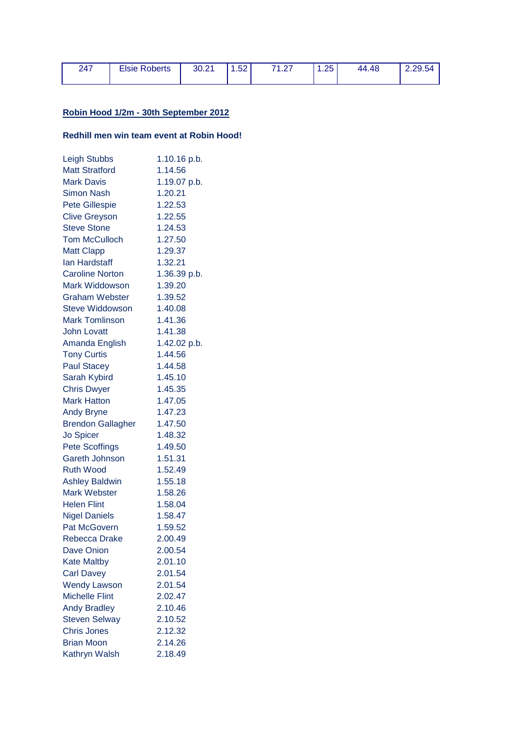| 247 | <b>Elsie Roberts</b> | 30.21 | .52 <sub>1</sub> | 71.27 | .25 | 44.48 | 2.29.54 |
|-----|----------------------|-------|------------------|-------|-----|-------|---------|
|     |                      |       |                  |       |     |       |         |

## **Robin Hood 1/2m - 30th September 2012**

## **Redhill men win team event at Robin Hood!**

| <b>Leigh Stubbs</b>      | 1.10.16 p.b. |
|--------------------------|--------------|
| <b>Matt Stratford</b>    | 1.14.56      |
| <b>Mark Davis</b>        | 1.19.07 p.b. |
| <b>Simon Nash</b>        | 1.20.21      |
| <b>Pete Gillespie</b>    | 1.22.53      |
| <b>Clive Greyson</b>     | 1.22.55      |
| <b>Steve Stone</b>       | 1.24.53      |
| <b>Tom McCulloch</b>     | 1.27.50      |
| <b>Matt Clapp</b>        | 1.29.37      |
| <b>lan Hardstaff</b>     | 1.32.21      |
| <b>Caroline Norton</b>   | 1.36.39 p.b. |
| <b>Mark Widdowson</b>    | 1.39.20      |
| <b>Graham Webster</b>    | 1.39.52      |
| <b>Steve Widdowson</b>   | 1.40.08      |
| <b>Mark Tomlinson</b>    | 1.41.36      |
| <b>John Lovatt</b>       | 1.41.38      |
| Amanda English           | 1.42.02 p.b. |
| <b>Tony Curtis</b>       | 1.44.56      |
| <b>Paul Stacey</b>       | 1.44.58      |
| Sarah Kybird             | 1.45.10      |
| <b>Chris Dwyer</b>       | 1.45.35      |
| <b>Mark Hatton</b>       | 1.47.05      |
| <b>Andy Bryne</b>        | 1.47.23      |
| <b>Brendon Gallagher</b> | 1.47.50      |
| <b>Jo Spicer</b>         | 1.48.32      |
| <b>Pete Scoffings</b>    | 1.49.50      |
| <b>Gareth Johnson</b>    | 1.51.31      |
| <b>Ruth Wood</b>         | 1.52.49      |
| <b>Ashley Baldwin</b>    | 1.55.18      |
| <b>Mark Webster</b>      | 1.58.26      |
| <b>Helen Flint</b>       | 1.58.04      |
| <b>Nigel Daniels</b>     | 1.58.47      |
| <b>Pat McGovern</b>      | 1.59.52      |
| Rebecca Drake            | 2.00.49      |
| <b>Dave Onion</b>        | 2.00.54      |
| <b>Kate Maltby</b>       | 2.01.10      |
| <b>Carl Davey</b>        | 2.01.54      |
| <b>Wendy Lawson</b>      | 2.01.54      |
| <b>Michelle Flint</b>    | 2.02.47      |
| <b>Andy Bradley</b>      | 2.10.46      |
| <b>Steven Selway</b>     | 2.10.52      |
| <b>Chris Jones</b>       | 2.12.32      |
| <b>Brian Moon</b>        | 2.14.26      |
| Kathryn Walsh            | 2.18.49      |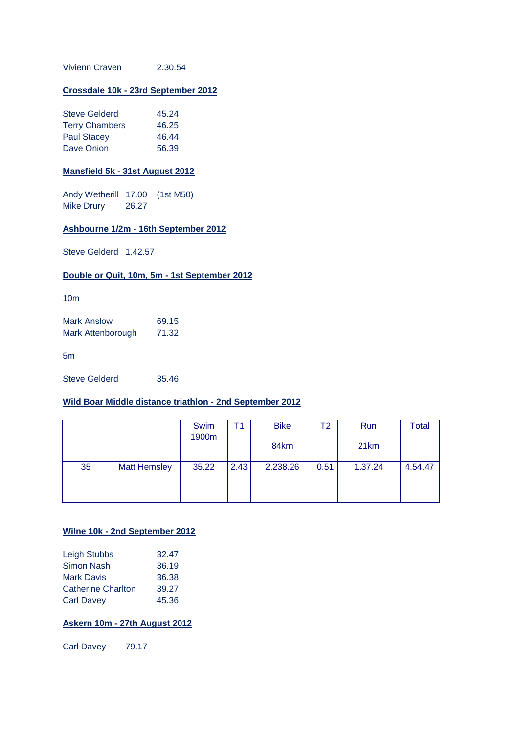Vivienn Craven 2.30.54

## **Crossdale 10k - 23rd September 2012**

| <b>Steve Gelderd</b>  | 45.24 |
|-----------------------|-------|
| <b>Terry Chambers</b> | 46.25 |
| <b>Paul Stacey</b>    | 46.44 |
| Dave Onion            | 56.39 |

## **Mansfield 5k - 31st August 2012**

Andy Wetherill 17.00 (1st M50) Mike Drury 26.27

## **Ashbourne 1/2m - 16th September 2012**

Steve Gelderd 1.42.57

## **Double or Quit, 10m, 5m - 1st September 2012**

10m

Mark Anslow 69.15 Mark Attenborough 71.32

5m

Steve Gelderd 35.46

## **Wild Boar Middle distance triathlon - 2nd September 2012**

|    |                     | Swim  | Τ1   | <b>Bike</b> | T2   | <b>Run</b> | <b>Total</b> |
|----|---------------------|-------|------|-------------|------|------------|--------------|
|    |                     | 1900m |      | 84km        |      | 21km       |              |
| 35 | <b>Matt Hemsley</b> | 35.22 | 2.43 | 2.238.26    | 0.51 | 1.37.24    | 4.54.47      |
|    |                     |       |      |             |      |            |              |
|    |                     |       |      |             |      |            |              |

## **Wilne 10k - 2nd September 2012**

| Leigh Stubbs              | 32.47 |
|---------------------------|-------|
| <b>Simon Nash</b>         | 36.19 |
| <b>Mark Davis</b>         | 36.38 |
| <b>Catherine Charlton</b> | 39.27 |
| <b>Carl Davey</b>         | 45.36 |

## **Askern 10m - 27th August 2012**

Carl Davey 79.17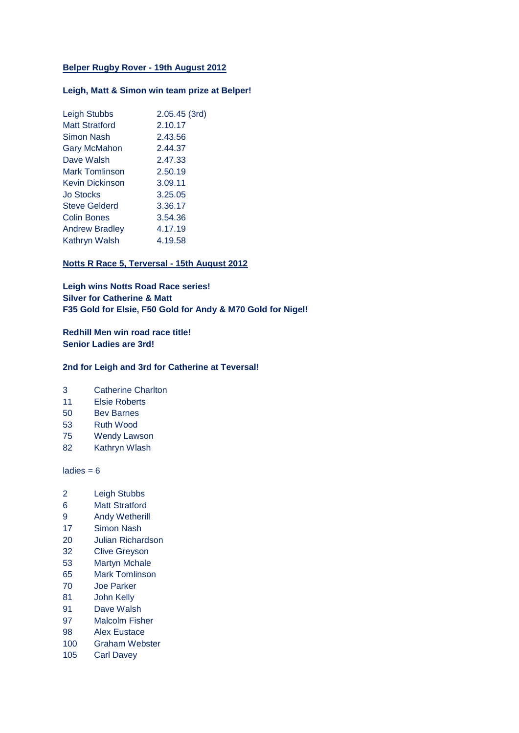## **Belper Rugby Rover - 19th August 2012**

## **Leigh, Matt & Simon win team prize at Belper!**

| <b>Leigh Stubbs</b>   | 2.05.45 (3rd) |
|-----------------------|---------------|
| <b>Matt Stratford</b> | 2.10.17       |
| Simon Nash            | 2.43.56       |
| <b>Gary McMahon</b>   | 2.44.37       |
| Dave Walsh            | 2.47.33       |
| <b>Mark Tomlinson</b> | 2.50.19       |
| Kevin Dickinson       | 3.09.11       |
| <b>Jo Stocks</b>      | 3.25.05       |
| <b>Steve Gelderd</b>  | 3.36.17       |
| <b>Colin Bones</b>    | 3.54.36       |
| <b>Andrew Bradley</b> | 4.17.19       |
| <b>Kathryn Walsh</b>  | 4.19.58       |
|                       |               |

## **Notts R Race 5, Terversal - 15th August 2012**

**Leigh wins Notts Road Race series! Silver for Catherine & Matt F35 Gold for Elsie, F50 Gold for Andy & M70 Gold for Nigel!**

**Redhill Men win road race title! Senior Ladies are 3rd!**

#### **2nd for Leigh and 3rd for Catherine at Teversal!**

- 3 Catherine Charlton
- 11 Elsie Roberts
- 50 Bev Barnes
- 53 Ruth Wood
- 75 Wendy Lawson
- 82 Kathryn Wlash

 $ladies = 6$ 

- 2 Leigh Stubbs
- 6 Matt Stratford
- 9 Andy Wetherill
- 17 Simon Nash
- 20 Julian Richardson
- 32 Clive Greyson
- 53 Martyn Mchale
- 65 Mark Tomlinson
- 70 Joe Parker
- 81 John Kelly
- 91 Dave Walsh
- 97 Malcolm Fisher
- 98 Alex Eustace
- 100 Graham Webster
- 105 Carl Davey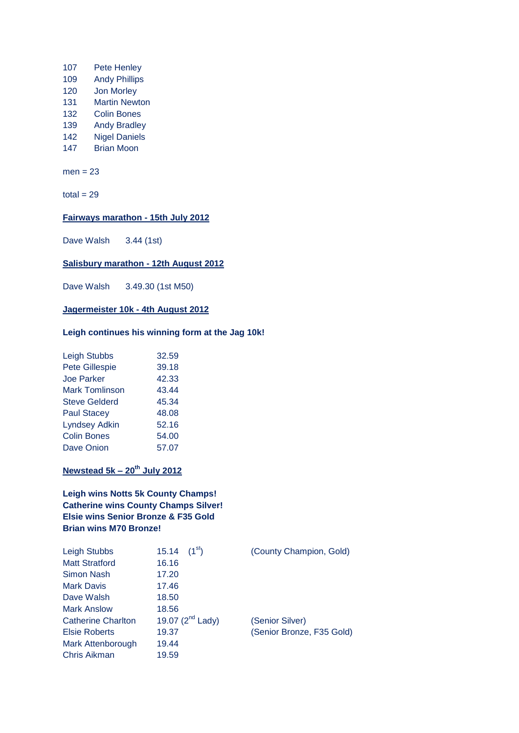- 107 Pete Henley 109 Andy Phillips 120 Jon Morley
- 131 Martin Newton
- 132 Colin Bones
- 139 Andy Bradley
- 142 Nigel Daniels
- 147 Brian Moon

 $men = 23$ 

 $total = 29$ 

## **Fairways marathon - 15th July 2012**

Dave Walsh 3.44 (1st)

## **Salisbury marathon - 12th August 2012**

Dave Walsh 3.49.30 (1st M50)

## **Jagermeister 10k - 4th August 2012**

## **Leigh continues his winning form at the Jag 10k!**

| <b>Leigh Stubbs</b>   | 32.59 |
|-----------------------|-------|
| <b>Pete Gillespie</b> | 39.18 |
| <b>Joe Parker</b>     | 42.33 |
| <b>Mark Tomlinson</b> | 43.44 |
| <b>Steve Gelderd</b>  | 45.34 |
| <b>Paul Stacey</b>    | 48.08 |
| <b>Lyndsey Adkin</b>  | 52.16 |
| <b>Colin Bones</b>    | 54.00 |
| <b>Dave Onion</b>     | 57.07 |
|                       |       |

## **Newstead 5k – 20th July 2012**

## **Leigh wins Notts 5k County Champs! Catherine wins County Champs Silver! Elsie wins Senior Bronze & F35 Gold Brian wins M70 Bronze!**

| Leigh Stubbs              | $(1^{st})$<br>15.14   | (County Champion, Gold)   |
|---------------------------|-----------------------|---------------------------|
| <b>Matt Stratford</b>     | 16.16                 |                           |
| Simon Nash                | 17.20                 |                           |
| <b>Mark Davis</b>         | 17.46                 |                           |
| Dave Walsh                | 18.50                 |                           |
| <b>Mark Anslow</b>        | 18.56                 |                           |
| <b>Catherine Charlton</b> | 19.07 $(2^{nd}$ Lady) | (Senior Silver)           |
| <b>Elsie Roberts</b>      | 19.37                 | (Senior Bronze, F35 Gold) |
| Mark Attenborough         | 19.44                 |                           |
| Chris Aikman              | 19.59                 |                           |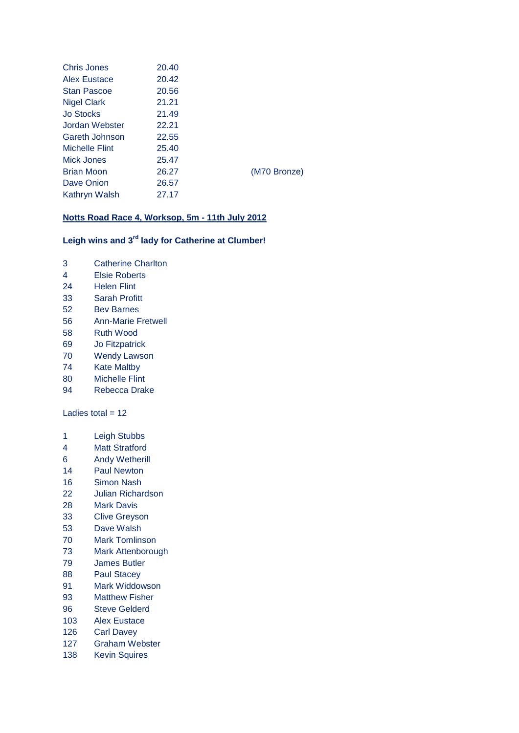| Chris Jones        | 20.40 |              |
|--------------------|-------|--------------|
| Alex Eustace       | 20.42 |              |
| <b>Stan Pascoe</b> | 20.56 |              |
| <b>Nigel Clark</b> | 21.21 |              |
| <b>Jo Stocks</b>   | 21.49 |              |
| Jordan Webster     | 22.21 |              |
| Gareth Johnson     | 22.55 |              |
| Michelle Flint     | 25.40 |              |
| Mick Jones         | 25.47 |              |
| <b>Brian Moon</b>  | 26.27 | (M70 Bronze) |
| Dave Onion         | 26.57 |              |
| Kathryn Walsh      | 27.17 |              |

## **Notts Road Race 4, Worksop, 5m - 11th July 2012**

## **Leigh wins and 3rd lady for Catherine at Clumber!**

- Catherine Charlton
- Elsie Roberts
- Helen Flint
- Sarah Profitt
- Bev Barnes
- Ann-Marie Fretwell
- Ruth Wood
- Jo Fitzpatrick
- Wendy Lawson
- Kate Maltby
- Michelle Flint
- Rebecca Drake

Ladies total  $= 12$ 

- Leigh Stubbs
- Matt Stratford
- Andy Wetherill
- Paul Newton
- Simon Nash
- Julian Richardson
- Mark Davis
- Clive Greyson
- Dave Walsh
- Mark Tomlinson
- Mark Attenborough
- James Butler
- Paul Stacey
- Mark Widdowson
- Matthew Fisher
- Steve Gelderd
- Alex Eustace
- Carl Davey
- Graham Webster
- Kevin Squires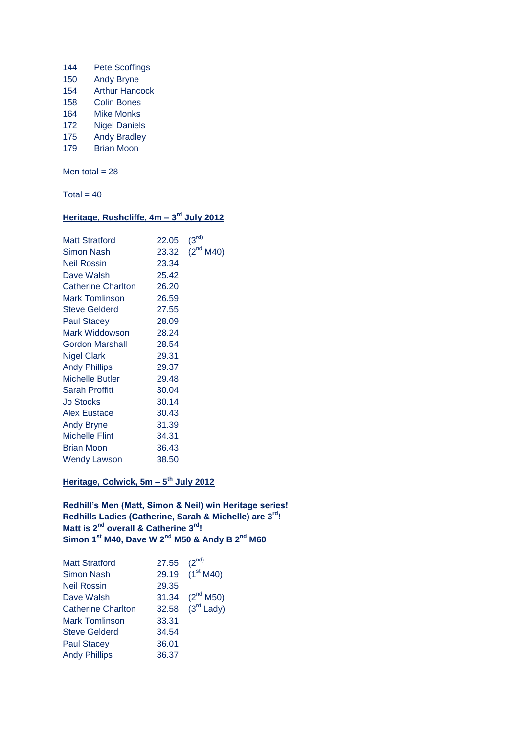- 144 Pete Scoffings
- 150 Andy Bryne 154 Arthur Hancock
- 158 Colin Bones
- 
- 164 Mike Monks
- 172 Nigel Daniels 175 Andy Bradley
- 179 Brian Moon

Men total  $= 28$ 

Total =  $40$ 

## **Heritage, Rushcliffe, 4m – 3 rd July 2012**

| <b>Matt Stratford</b> | 22.05 | (3 <sup>rd</sup> ) |
|-----------------------|-------|--------------------|
| Simon Nash            | 23.32 | $(2^{nd} M40)$     |
| Neil Rossin           | 23.34 |                    |
| Dave Walsh            | 25.42 |                    |
| Catherine Charlton    | 26.20 |                    |
| <b>Mark Tomlinson</b> | 26.59 |                    |
| <b>Steve Gelderd</b>  | 27.55 |                    |
| <b>Paul Stacey</b>    | 28.09 |                    |
| Mark Widdowson        | 28.24 |                    |
| Gordon Marshall       | 28.54 |                    |
| <b>Nigel Clark</b>    | 29.31 |                    |
| <b>Andy Phillips</b>  | 29.37 |                    |
| Michelle Butler       | 29.48 |                    |
| Sarah Proffitt        | 30.04 |                    |
| <b>Jo Stocks</b>      | 30.14 |                    |
| Alex Eustace          | 30.43 |                    |
| <b>Andy Bryne</b>     | 31.39 |                    |
| <b>Michelle Flint</b> | 34.31 |                    |
| <b>Brian Moon</b>     | 36.43 |                    |
| <b>Wendy Lawson</b>   | 38.50 |                    |

## **Heritage, Colwick, 5m – 5 th July 2012**

**Redhill's Men (Matt, Simon & Neil) win Heritage series! Redhills Ladies (Catherine, Sarah & Michelle) are 3rd! Matt is 2nd overall & Catherine 3rd! Simon 1st M40, Dave W 2nd M50 & Andy B 2nd M60**

| <b>Matt Stratford</b>     | 27.55 | $(2^{nd)}$                  |
|---------------------------|-------|-----------------------------|
| <b>Simon Nash</b>         |       | 29.19 (1 <sup>st</sup> M40) |
| <b>Neil Rossin</b>        | 29.35 |                             |
| Dave Walsh                | 31.34 | $(2^{nd}$ M50)              |
| <b>Catherine Charlton</b> |       | 32.58 $(3rd$ Lady)          |
| <b>Mark Tomlinson</b>     | 33.31 |                             |
| <b>Steve Gelderd</b>      | 34.54 |                             |
| <b>Paul Stacey</b>        | 36.01 |                             |
| <b>Andy Phillips</b>      | 36.37 |                             |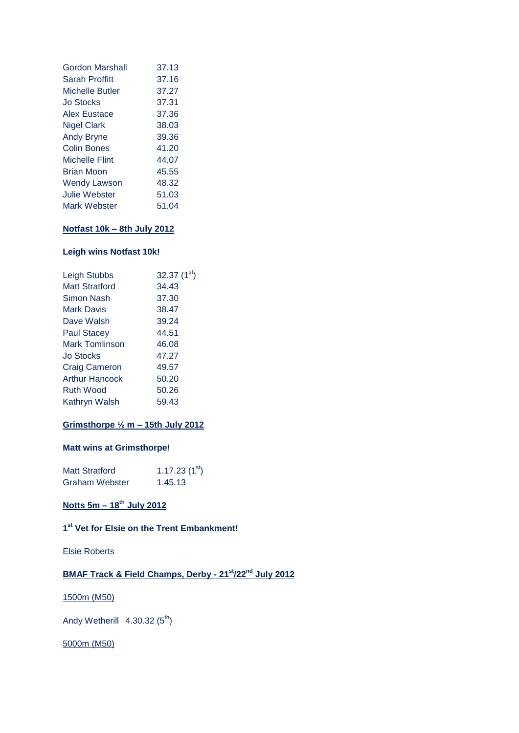| Gordon Marshall        | 37.13 |
|------------------------|-------|
|                        |       |
| <b>Sarah Proffitt</b>  | 37.16 |
| <b>Michelle Butler</b> | 37.27 |
| <b>Jo Stocks</b>       | 37.31 |
| <b>Alex Eustace</b>    | 37.36 |
| <b>Nigel Clark</b>     | 38.03 |
| <b>Andy Bryne</b>      | 39.36 |
| <b>Colin Bones</b>     | 41.20 |
| <b>Michelle Flint</b>  | 44.07 |
| <b>Brian Moon</b>      | 45.55 |
| <b>Wendy Lawson</b>    | 48.32 |
| Julie Webster          | 51.03 |
| Mark Webster           | 51.04 |

## **Notfast 10k – 8th July 2012**

## **Leigh wins Notfast 10k!**

| Leigh Stubbs          | 32.37 $(1st)$ |
|-----------------------|---------------|
| Matt Stratford        | 34.43         |
| Simon Nash            | 37.30         |
| Mark Davis            | 38.47         |
| Dave Walsh            | 39.24         |
| <b>Paul Stacey</b>    | 44.51         |
| Mark Tomlinson        | 46.08         |
| <b>Jo Stocks</b>      | 47.27         |
| <b>Craig Cameron</b>  | 49.57         |
| <b>Arthur Hancock</b> | 50.20         |
| <b>Ruth Wood</b>      | 50.26         |
| Kathryn Walsh         | 59.43         |
|                       |               |

## **Grimsthorpe ½ m – 15th July 2012**

## **Matt wins at Grimsthorpe!**

| <b>Matt Stratford</b> | 1.17.23 $(1st)$ |
|-----------------------|-----------------|
| <b>Graham Webster</b> | 1.45.13         |

## **Notts 5m – 18th July 2012**

## **1 st Vet for Elsie on the Trent Embankment!**

Elsie Roberts

## **BMAF Track & Field Champs, Derby - 21st/22nd July 2012**

## 1500m (M50)

Andy Wetherill  $4.30.32 (5<sup>th</sup>)$ 

## 5000m (M50)